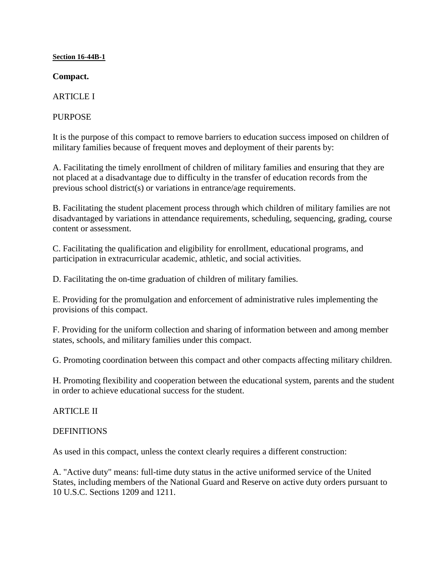#### **Section 16-44B-1**

**Compact.**

**ARTICLE I** 

PURPOSE

It is the purpose of this compact to remove barriers to education success imposed on children of military families because of frequent moves and deployment of their parents by:

A. Facilitating the timely enrollment of children of military families and ensuring that they are not placed at a disadvantage due to difficulty in the transfer of education records from the previous school district(s) or variations in entrance/age requirements.

B. Facilitating the student placement process through which children of military families are not disadvantaged by variations in attendance requirements, scheduling, sequencing, grading, course content or assessment.

C. Facilitating the qualification and eligibility for enrollment, educational programs, and participation in extracurricular academic, athletic, and social activities.

D. Facilitating the on-time graduation of children of military families.

E. Providing for the promulgation and enforcement of administrative rules implementing the provisions of this compact.

F. Providing for the uniform collection and sharing of information between and among member states, schools, and military families under this compact.

G. Promoting coordination between this compact and other compacts affecting military children.

H. Promoting flexibility and cooperation between the educational system, parents and the student in order to achieve educational success for the student.

ARTICLE II

#### DEFINITIONS

As used in this compact, unless the context clearly requires a different construction:

A. "Active duty" means: full-time duty status in the active uniformed service of the United States, including members of the National Guard and Reserve on active duty orders pursuant to 10 U.S.C. Sections 1209 and 1211.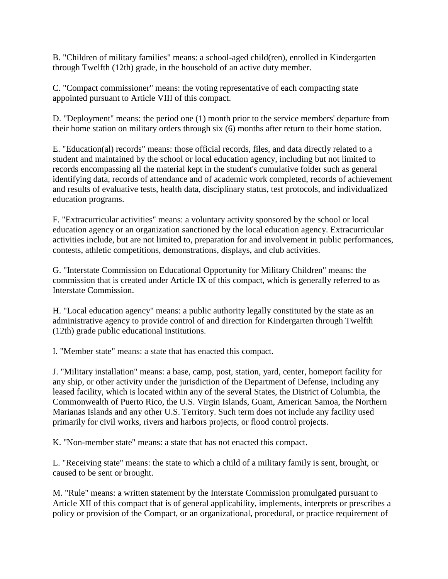B. "Children of military families" means: a school-aged child(ren), enrolled in Kindergarten through Twelfth (12th) grade, in the household of an active duty member.

C. "Compact commissioner" means: the voting representative of each compacting state appointed pursuant to Article VIII of this compact.

D. "Deployment" means: the period one (1) month prior to the service members' departure from their home station on military orders through six (6) months after return to their home station.

E. "Education(al) records" means: those official records, files, and data directly related to a student and maintained by the school or local education agency, including but not limited to records encompassing all the material kept in the student's cumulative folder such as general identifying data, records of attendance and of academic work completed, records of achievement and results of evaluative tests, health data, disciplinary status, test protocols, and individualized education programs.

F. "Extracurricular activities" means: a voluntary activity sponsored by the school or local education agency or an organization sanctioned by the local education agency. Extracurricular activities include, but are not limited to, preparation for and involvement in public performances, contests, athletic competitions, demonstrations, displays, and club activities.

G. "Interstate Commission on Educational Opportunity for Military Children" means: the commission that is created under Article IX of this compact, which is generally referred to as Interstate Commission.

H. "Local education agency" means: a public authority legally constituted by the state as an administrative agency to provide control of and direction for Kindergarten through Twelfth (12th) grade public educational institutions.

I. "Member state" means: a state that has enacted this compact.

J. "Military installation" means: a base, camp, post, station, yard, center, homeport facility for any ship, or other activity under the jurisdiction of the Department of Defense, including any leased facility, which is located within any of the several States, the District of Columbia, the Commonwealth of Puerto Rico, the U.S. Virgin Islands, Guam, American Samoa, the Northern Marianas Islands and any other U.S. Territory. Such term does not include any facility used primarily for civil works, rivers and harbors projects, or flood control projects.

K. "Non-member state" means: a state that has not enacted this compact.

L. "Receiving state" means: the state to which a child of a military family is sent, brought, or caused to be sent or brought.

M. "Rule" means: a written statement by the Interstate Commission promulgated pursuant to Article XII of this compact that is of general applicability, implements, interprets or prescribes a policy or provision of the Compact, or an organizational, procedural, or practice requirement of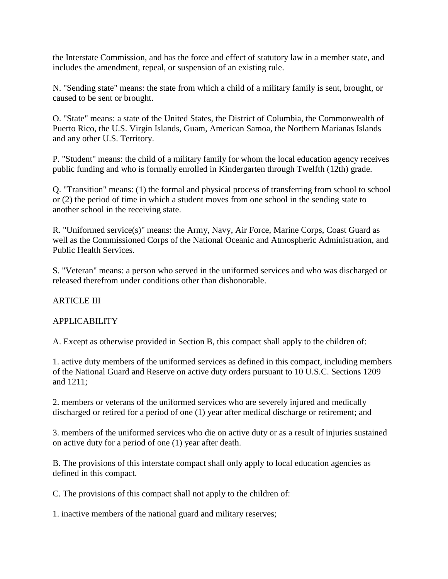the Interstate Commission, and has the force and effect of statutory law in a member state, and includes the amendment, repeal, or suspension of an existing rule.

N. "Sending state" means: the state from which a child of a military family is sent, brought, or caused to be sent or brought.

O. "State" means: a state of the United States, the District of Columbia, the Commonwealth of Puerto Rico, the U.S. Virgin Islands, Guam, American Samoa, the Northern Marianas Islands and any other U.S. Territory.

P. "Student" means: the child of a military family for whom the local education agency receives public funding and who is formally enrolled in Kindergarten through Twelfth (12th) grade.

Q. "Transition" means: (1) the formal and physical process of transferring from school to school or (2) the period of time in which a student moves from one school in the sending state to another school in the receiving state.

R. "Uniformed service(s)" means: the Army, Navy, Air Force, Marine Corps, Coast Guard as well as the Commissioned Corps of the National Oceanic and Atmospheric Administration, and Public Health Services.

S. "Veteran" means: a person who served in the uniformed services and who was discharged or released therefrom under conditions other than dishonorable.

### ARTICLE III

### APPLICABILITY

A. Except as otherwise provided in Section B, this compact shall apply to the children of:

1. active duty members of the uniformed services as defined in this compact, including members of the National Guard and Reserve on active duty orders pursuant to 10 U.S.C. Sections 1209 and 1211;

2. members or veterans of the uniformed services who are severely injured and medically discharged or retired for a period of one (1) year after medical discharge or retirement; and

3. members of the uniformed services who die on active duty or as a result of injuries sustained on active duty for a period of one (1) year after death.

B. The provisions of this interstate compact shall only apply to local education agencies as defined in this compact.

C. The provisions of this compact shall not apply to the children of:

1. inactive members of the national guard and military reserves;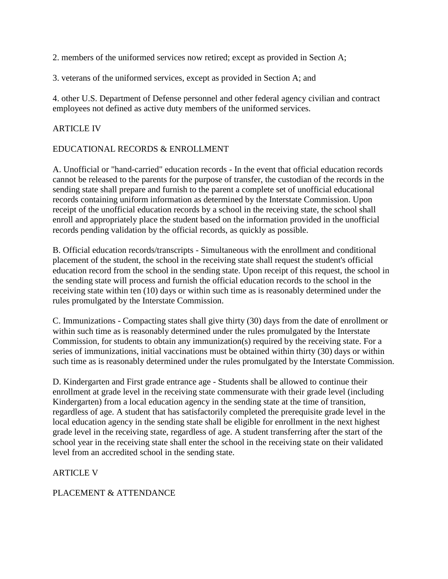2. members of the uniformed services now retired; except as provided in Section A;

3. veterans of the uniformed services, except as provided in Section A; and

4. other U.S. Department of Defense personnel and other federal agency civilian and contract employees not defined as active duty members of the uniformed services.

### ARTICLE IV

#### EDUCATIONAL RECORDS & ENROLLMENT

A. Unofficial or "hand-carried" education records - In the event that official education records cannot be released to the parents for the purpose of transfer, the custodian of the records in the sending state shall prepare and furnish to the parent a complete set of unofficial educational records containing uniform information as determined by the Interstate Commission. Upon receipt of the unofficial education records by a school in the receiving state, the school shall enroll and appropriately place the student based on the information provided in the unofficial records pending validation by the official records, as quickly as possible.

B. Official education records/transcripts - Simultaneous with the enrollment and conditional placement of the student, the school in the receiving state shall request the student's official education record from the school in the sending state. Upon receipt of this request, the school in the sending state will process and furnish the official education records to the school in the receiving state within ten (10) days or within such time as is reasonably determined under the rules promulgated by the Interstate Commission.

C. Immunizations - Compacting states shall give thirty (30) days from the date of enrollment or within such time as is reasonably determined under the rules promulgated by the Interstate Commission, for students to obtain any immunization(s) required by the receiving state. For a series of immunizations, initial vaccinations must be obtained within thirty (30) days or within such time as is reasonably determined under the rules promulgated by the Interstate Commission.

D. Kindergarten and First grade entrance age - Students shall be allowed to continue their enrollment at grade level in the receiving state commensurate with their grade level (including Kindergarten) from a local education agency in the sending state at the time of transition, regardless of age. A student that has satisfactorily completed the prerequisite grade level in the local education agency in the sending state shall be eligible for enrollment in the next highest grade level in the receiving state, regardless of age. A student transferring after the start of the school year in the receiving state shall enter the school in the receiving state on their validated level from an accredited school in the sending state.

### **ARTICLE V**

### PLACEMENT & ATTENDANCE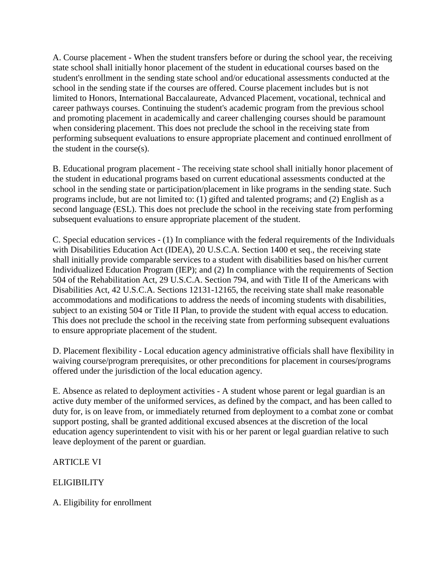A. Course placement - When the student transfers before or during the school year, the receiving state school shall initially honor placement of the student in educational courses based on the student's enrollment in the sending state school and/or educational assessments conducted at the school in the sending state if the courses are offered. Course placement includes but is not limited to Honors, International Baccalaureate, Advanced Placement, vocational, technical and career pathways courses. Continuing the student's academic program from the previous school and promoting placement in academically and career challenging courses should be paramount when considering placement. This does not preclude the school in the receiving state from performing subsequent evaluations to ensure appropriate placement and continued enrollment of the student in the course(s).

B. Educational program placement - The receiving state school shall initially honor placement of the student in educational programs based on current educational assessments conducted at the school in the sending state or participation/placement in like programs in the sending state. Such programs include, but are not limited to: (1) gifted and talented programs; and (2) English as a second language (ESL). This does not preclude the school in the receiving state from performing subsequent evaluations to ensure appropriate placement of the student.

C. Special education services - (1) In compliance with the federal requirements of the Individuals with Disabilities Education Act (IDEA), 20 U.S.C.A. Section 1400 et seq., the receiving state shall initially provide comparable services to a student with disabilities based on his/her current Individualized Education Program (IEP); and (2) In compliance with the requirements of Section 504 of the Rehabilitation Act, 29 U.S.C.A. Section 794, and with Title II of the Americans with Disabilities Act, 42 U.S.C.A. Sections 12131-12165, the receiving state shall make reasonable accommodations and modifications to address the needs of incoming students with disabilities, subject to an existing 504 or Title II Plan, to provide the student with equal access to education. This does not preclude the school in the receiving state from performing subsequent evaluations to ensure appropriate placement of the student.

D. Placement flexibility - Local education agency administrative officials shall have flexibility in waiving course/program prerequisites, or other preconditions for placement in courses/programs offered under the jurisdiction of the local education agency.

E. Absence as related to deployment activities - A student whose parent or legal guardian is an active duty member of the uniformed services, as defined by the compact, and has been called to duty for, is on leave from, or immediately returned from deployment to a combat zone or combat support posting, shall be granted additional excused absences at the discretion of the local education agency superintendent to visit with his or her parent or legal guardian relative to such leave deployment of the parent or guardian.

ARTICLE VI

**ELIGIBILITY** 

A. Eligibility for enrollment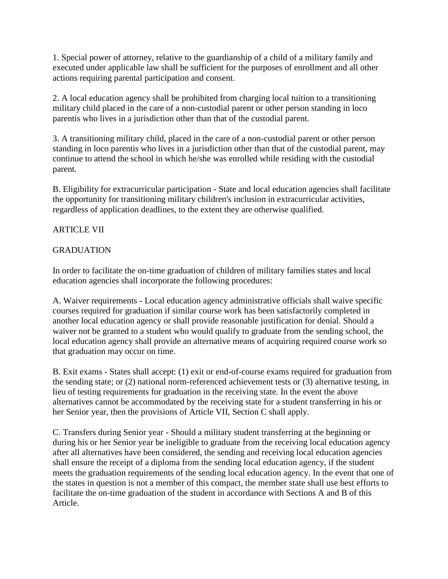1. Special power of attorney, relative to the guardianship of a child of a military family and executed under applicable law shall be sufficient for the purposes of enrollment and all other actions requiring parental participation and consent.

2. A local education agency shall be prohibited from charging local tuition to a transitioning military child placed in the care of a non-custodial parent or other person standing in loco parentis who lives in a jurisdiction other than that of the custodial parent.

3. A transitioning military child, placed in the care of a non-custodial parent or other person standing in loco parentis who lives in a jurisdiction other than that of the custodial parent, may continue to attend the school in which he/she was enrolled while residing with the custodial parent.

B. Eligibility for extracurricular participation - State and local education agencies shall facilitate the opportunity for transitioning military children's inclusion in extracurricular activities, regardless of application deadlines, to the extent they are otherwise qualified.

# ARTICLE VII

## GRADUATION

In order to facilitate the on-time graduation of children of military families states and local education agencies shall incorporate the following procedures:

A. Waiver requirements - Local education agency administrative officials shall waive specific courses required for graduation if similar course work has been satisfactorily completed in another local education agency or shall provide reasonable justification for denial. Should a waiver not be granted to a student who would qualify to graduate from the sending school, the local education agency shall provide an alternative means of acquiring required course work so that graduation may occur on time.

B. Exit exams - States shall accept: (1) exit or end-of-course exams required for graduation from the sending state; or (2) national norm-referenced achievement tests or (3) alternative testing, in lieu of testing requirements for graduation in the receiving state. In the event the above alternatives cannot be accommodated by the receiving state for a student transferring in his or her Senior year, then the provisions of Article VII, Section C shall apply.

C. Transfers during Senior year - Should a military student transferring at the beginning or during his or her Senior year be ineligible to graduate from the receiving local education agency after all alternatives have been considered, the sending and receiving local education agencies shall ensure the receipt of a diploma from the sending local education agency, if the student meets the graduation requirements of the sending local education agency. In the event that one of the states in question is not a member of this compact, the member state shall use best efforts to facilitate the on-time graduation of the student in accordance with Sections A and B of this Article.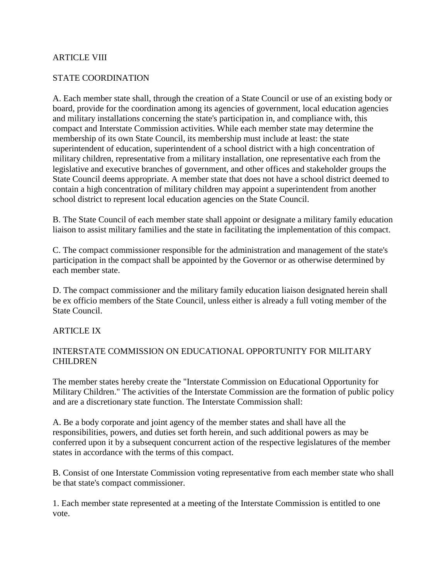#### ARTICLE VIII

#### STATE COORDINATION

A. Each member state shall, through the creation of a State Council or use of an existing body or board, provide for the coordination among its agencies of government, local education agencies and military installations concerning the state's participation in, and compliance with, this compact and Interstate Commission activities. While each member state may determine the membership of its own State Council, its membership must include at least: the state superintendent of education, superintendent of a school district with a high concentration of military children, representative from a military installation, one representative each from the legislative and executive branches of government, and other offices and stakeholder groups the State Council deems appropriate. A member state that does not have a school district deemed to contain a high concentration of military children may appoint a superintendent from another school district to represent local education agencies on the State Council.

B. The State Council of each member state shall appoint or designate a military family education liaison to assist military families and the state in facilitating the implementation of this compact.

C. The compact commissioner responsible for the administration and management of the state's participation in the compact shall be appointed by the Governor or as otherwise determined by each member state.

D. The compact commissioner and the military family education liaison designated herein shall be ex officio members of the State Council, unless either is already a full voting member of the State Council.

#### ARTICLE IX

#### INTERSTATE COMMISSION ON EDUCATIONAL OPPORTUNITY FOR MILITARY CHILDREN

The member states hereby create the "Interstate Commission on Educational Opportunity for Military Children." The activities of the Interstate Commission are the formation of public policy and are a discretionary state function. The Interstate Commission shall:

A. Be a body corporate and joint agency of the member states and shall have all the responsibilities, powers, and duties set forth herein, and such additional powers as may be conferred upon it by a subsequent concurrent action of the respective legislatures of the member states in accordance with the terms of this compact.

B. Consist of one Interstate Commission voting representative from each member state who shall be that state's compact commissioner.

1. Each member state represented at a meeting of the Interstate Commission is entitled to one vote.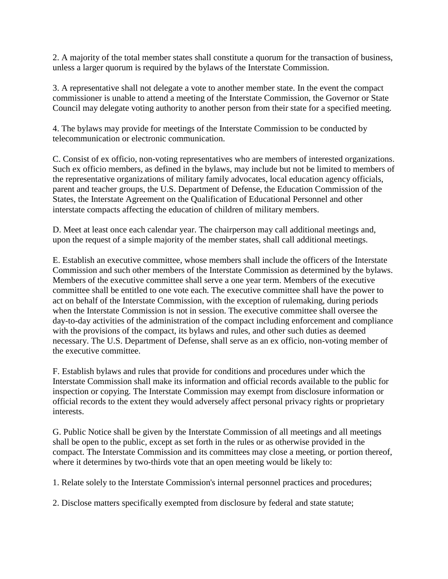2. A majority of the total member states shall constitute a quorum for the transaction of business, unless a larger quorum is required by the bylaws of the Interstate Commission.

3. A representative shall not delegate a vote to another member state. In the event the compact commissioner is unable to attend a meeting of the Interstate Commission, the Governor or State Council may delegate voting authority to another person from their state for a specified meeting.

4. The bylaws may provide for meetings of the Interstate Commission to be conducted by telecommunication or electronic communication.

C. Consist of ex officio, non-voting representatives who are members of interested organizations. Such ex officio members, as defined in the bylaws, may include but not be limited to members of the representative organizations of military family advocates, local education agency officials, parent and teacher groups, the U.S. Department of Defense, the Education Commission of the States, the Interstate Agreement on the Qualification of Educational Personnel and other interstate compacts affecting the education of children of military members.

D. Meet at least once each calendar year. The chairperson may call additional meetings and, upon the request of a simple majority of the member states, shall call additional meetings.

E. Establish an executive committee, whose members shall include the officers of the Interstate Commission and such other members of the Interstate Commission as determined by the bylaws. Members of the executive committee shall serve a one year term. Members of the executive committee shall be entitled to one vote each. The executive committee shall have the power to act on behalf of the Interstate Commission, with the exception of rulemaking, during periods when the Interstate Commission is not in session. The executive committee shall oversee the day-to-day activities of the administration of the compact including enforcement and compliance with the provisions of the compact, its bylaws and rules, and other such duties as deemed necessary. The U.S. Department of Defense, shall serve as an ex officio, non-voting member of the executive committee.

F. Establish bylaws and rules that provide for conditions and procedures under which the Interstate Commission shall make its information and official records available to the public for inspection or copying. The Interstate Commission may exempt from disclosure information or official records to the extent they would adversely affect personal privacy rights or proprietary interests.

G. Public Notice shall be given by the Interstate Commission of all meetings and all meetings shall be open to the public, except as set forth in the rules or as otherwise provided in the compact. The Interstate Commission and its committees may close a meeting, or portion thereof, where it determines by two-thirds vote that an open meeting would be likely to:

1. Relate solely to the Interstate Commission's internal personnel practices and procedures;

2. Disclose matters specifically exempted from disclosure by federal and state statute;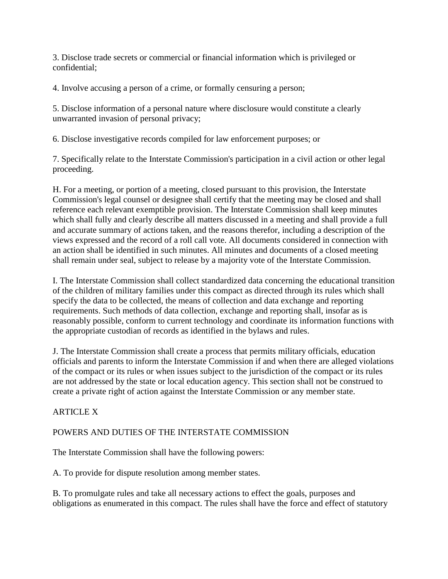3. Disclose trade secrets or commercial or financial information which is privileged or confidential;

4. Involve accusing a person of a crime, or formally censuring a person;

5. Disclose information of a personal nature where disclosure would constitute a clearly unwarranted invasion of personal privacy;

6. Disclose investigative records compiled for law enforcement purposes; or

7. Specifically relate to the Interstate Commission's participation in a civil action or other legal proceeding.

H. For a meeting, or portion of a meeting, closed pursuant to this provision, the Interstate Commission's legal counsel or designee shall certify that the meeting may be closed and shall reference each relevant exemptible provision. The Interstate Commission shall keep minutes which shall fully and clearly describe all matters discussed in a meeting and shall provide a full and accurate summary of actions taken, and the reasons therefor, including a description of the views expressed and the record of a roll call vote. All documents considered in connection with an action shall be identified in such minutes. All minutes and documents of a closed meeting shall remain under seal, subject to release by a majority vote of the Interstate Commission.

I. The Interstate Commission shall collect standardized data concerning the educational transition of the children of military families under this compact as directed through its rules which shall specify the data to be collected, the means of collection and data exchange and reporting requirements. Such methods of data collection, exchange and reporting shall, insofar as is reasonably possible, conform to current technology and coordinate its information functions with the appropriate custodian of records as identified in the bylaws and rules.

J. The Interstate Commission shall create a process that permits military officials, education officials and parents to inform the Interstate Commission if and when there are alleged violations of the compact or its rules or when issues subject to the jurisdiction of the compact or its rules are not addressed by the state or local education agency. This section shall not be construed to create a private right of action against the Interstate Commission or any member state.

ARTICLE X

### POWERS AND DUTIES OF THE INTERSTATE COMMISSION

The Interstate Commission shall have the following powers:

A. To provide for dispute resolution among member states.

B. To promulgate rules and take all necessary actions to effect the goals, purposes and obligations as enumerated in this compact. The rules shall have the force and effect of statutory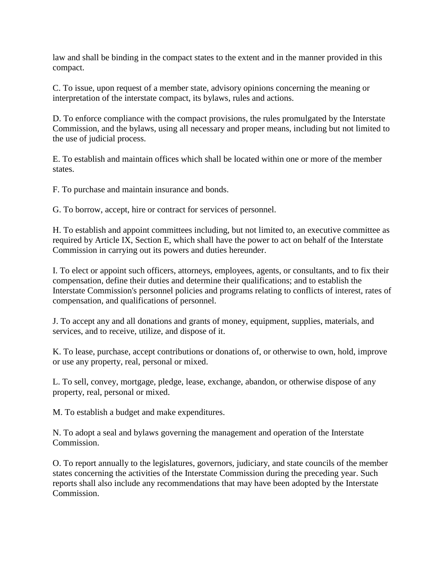law and shall be binding in the compact states to the extent and in the manner provided in this compact.

C. To issue, upon request of a member state, advisory opinions concerning the meaning or interpretation of the interstate compact, its bylaws, rules and actions.

D. To enforce compliance with the compact provisions, the rules promulgated by the Interstate Commission, and the bylaws, using all necessary and proper means, including but not limited to the use of judicial process.

E. To establish and maintain offices which shall be located within one or more of the member states.

F. To purchase and maintain insurance and bonds.

G. To borrow, accept, hire or contract for services of personnel.

H. To establish and appoint committees including, but not limited to, an executive committee as required by Article IX, Section E, which shall have the power to act on behalf of the Interstate Commission in carrying out its powers and duties hereunder.

I. To elect or appoint such officers, attorneys, employees, agents, or consultants, and to fix their compensation, define their duties and determine their qualifications; and to establish the Interstate Commission's personnel policies and programs relating to conflicts of interest, rates of compensation, and qualifications of personnel.

J. To accept any and all donations and grants of money, equipment, supplies, materials, and services, and to receive, utilize, and dispose of it.

K. To lease, purchase, accept contributions or donations of, or otherwise to own, hold, improve or use any property, real, personal or mixed.

L. To sell, convey, mortgage, pledge, lease, exchange, abandon, or otherwise dispose of any property, real, personal or mixed.

M. To establish a budget and make expenditures.

N. To adopt a seal and bylaws governing the management and operation of the Interstate Commission.

O. To report annually to the legislatures, governors, judiciary, and state councils of the member states concerning the activities of the Interstate Commission during the preceding year. Such reports shall also include any recommendations that may have been adopted by the Interstate Commission.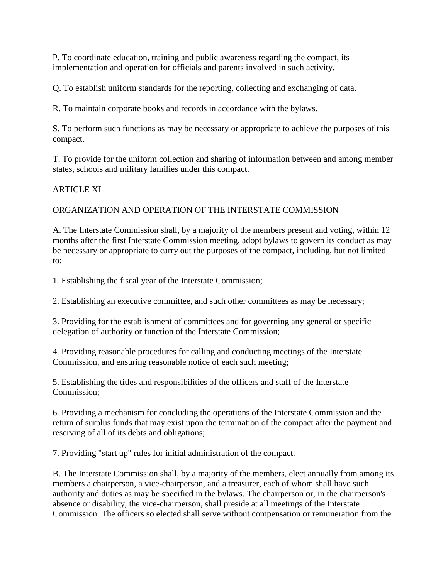P. To coordinate education, training and public awareness regarding the compact, its implementation and operation for officials and parents involved in such activity.

Q. To establish uniform standards for the reporting, collecting and exchanging of data.

R. To maintain corporate books and records in accordance with the bylaws.

S. To perform such functions as may be necessary or appropriate to achieve the purposes of this compact.

T. To provide for the uniform collection and sharing of information between and among member states, schools and military families under this compact.

## ARTICLE XI

ORGANIZATION AND OPERATION OF THE INTERSTATE COMMISSION

A. The Interstate Commission shall, by a majority of the members present and voting, within 12 months after the first Interstate Commission meeting, adopt bylaws to govern its conduct as may be necessary or appropriate to carry out the purposes of the compact, including, but not limited to:

1. Establishing the fiscal year of the Interstate Commission;

2. Establishing an executive committee, and such other committees as may be necessary;

3. Providing for the establishment of committees and for governing any general or specific delegation of authority or function of the Interstate Commission;

4. Providing reasonable procedures for calling and conducting meetings of the Interstate Commission, and ensuring reasonable notice of each such meeting;

5. Establishing the titles and responsibilities of the officers and staff of the Interstate Commission;

6. Providing a mechanism for concluding the operations of the Interstate Commission and the return of surplus funds that may exist upon the termination of the compact after the payment and reserving of all of its debts and obligations;

7. Providing "start up" rules for initial administration of the compact.

B. The Interstate Commission shall, by a majority of the members, elect annually from among its members a chairperson, a vice-chairperson, and a treasurer, each of whom shall have such authority and duties as may be specified in the bylaws. The chairperson or, in the chairperson's absence or disability, the vice-chairperson, shall preside at all meetings of the Interstate Commission. The officers so elected shall serve without compensation or remuneration from the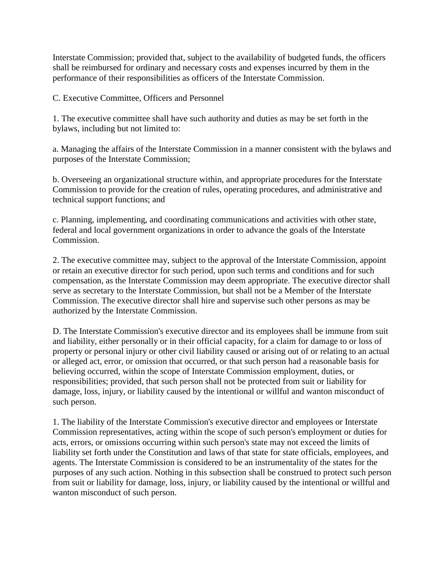Interstate Commission; provided that, subject to the availability of budgeted funds, the officers shall be reimbursed for ordinary and necessary costs and expenses incurred by them in the performance of their responsibilities as officers of the Interstate Commission.

C. Executive Committee, Officers and Personnel

1. The executive committee shall have such authority and duties as may be set forth in the bylaws, including but not limited to:

a. Managing the affairs of the Interstate Commission in a manner consistent with the bylaws and purposes of the Interstate Commission;

b. Overseeing an organizational structure within, and appropriate procedures for the Interstate Commission to provide for the creation of rules, operating procedures, and administrative and technical support functions; and

c. Planning, implementing, and coordinating communications and activities with other state, federal and local government organizations in order to advance the goals of the Interstate Commission.

2. The executive committee may, subject to the approval of the Interstate Commission, appoint or retain an executive director for such period, upon such terms and conditions and for such compensation, as the Interstate Commission may deem appropriate. The executive director shall serve as secretary to the Interstate Commission, but shall not be a Member of the Interstate Commission. The executive director shall hire and supervise such other persons as may be authorized by the Interstate Commission.

D. The Interstate Commission's executive director and its employees shall be immune from suit and liability, either personally or in their official capacity, for a claim for damage to or loss of property or personal injury or other civil liability caused or arising out of or relating to an actual or alleged act, error, or omission that occurred, or that such person had a reasonable basis for believing occurred, within the scope of Interstate Commission employment, duties, or responsibilities; provided, that such person shall not be protected from suit or liability for damage, loss, injury, or liability caused by the intentional or willful and wanton misconduct of such person.

1. The liability of the Interstate Commission's executive director and employees or Interstate Commission representatives, acting within the scope of such person's employment or duties for acts, errors, or omissions occurring within such person's state may not exceed the limits of liability set forth under the Constitution and laws of that state for state officials, employees, and agents. The Interstate Commission is considered to be an instrumentality of the states for the purposes of any such action. Nothing in this subsection shall be construed to protect such person from suit or liability for damage, loss, injury, or liability caused by the intentional or willful and wanton misconduct of such person.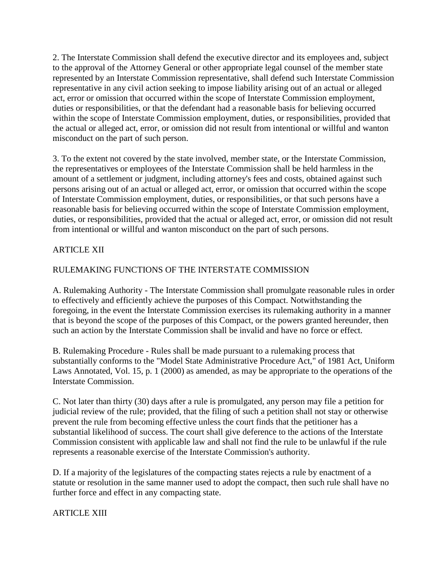2. The Interstate Commission shall defend the executive director and its employees and, subject to the approval of the Attorney General or other appropriate legal counsel of the member state represented by an Interstate Commission representative, shall defend such Interstate Commission representative in any civil action seeking to impose liability arising out of an actual or alleged act, error or omission that occurred within the scope of Interstate Commission employment, duties or responsibilities, or that the defendant had a reasonable basis for believing occurred within the scope of Interstate Commission employment, duties, or responsibilities, provided that the actual or alleged act, error, or omission did not result from intentional or willful and wanton misconduct on the part of such person.

3. To the extent not covered by the state involved, member state, or the Interstate Commission, the representatives or employees of the Interstate Commission shall be held harmless in the amount of a settlement or judgment, including attorney's fees and costs, obtained against such persons arising out of an actual or alleged act, error, or omission that occurred within the scope of Interstate Commission employment, duties, or responsibilities, or that such persons have a reasonable basis for believing occurred within the scope of Interstate Commission employment, duties, or responsibilities, provided that the actual or alleged act, error, or omission did not result from intentional or willful and wanton misconduct on the part of such persons.

## ARTICLE XII

# RULEMAKING FUNCTIONS OF THE INTERSTATE COMMISSION

A. Rulemaking Authority - The Interstate Commission shall promulgate reasonable rules in order to effectively and efficiently achieve the purposes of this Compact. Notwithstanding the foregoing, in the event the Interstate Commission exercises its rulemaking authority in a manner that is beyond the scope of the purposes of this Compact, or the powers granted hereunder, then such an action by the Interstate Commission shall be invalid and have no force or effect.

B. Rulemaking Procedure - Rules shall be made pursuant to a rulemaking process that substantially conforms to the "Model State Administrative Procedure Act," of 1981 Act, Uniform Laws Annotated, Vol. 15, p. 1 (2000) as amended, as may be appropriate to the operations of the Interstate Commission.

C. Not later than thirty (30) days after a rule is promulgated, any person may file a petition for judicial review of the rule; provided, that the filing of such a petition shall not stay or otherwise prevent the rule from becoming effective unless the court finds that the petitioner has a substantial likelihood of success. The court shall give deference to the actions of the Interstate Commission consistent with applicable law and shall not find the rule to be unlawful if the rule represents a reasonable exercise of the Interstate Commission's authority.

D. If a majority of the legislatures of the compacting states rejects a rule by enactment of a statute or resolution in the same manner used to adopt the compact, then such rule shall have no further force and effect in any compacting state.

ARTICLE XIII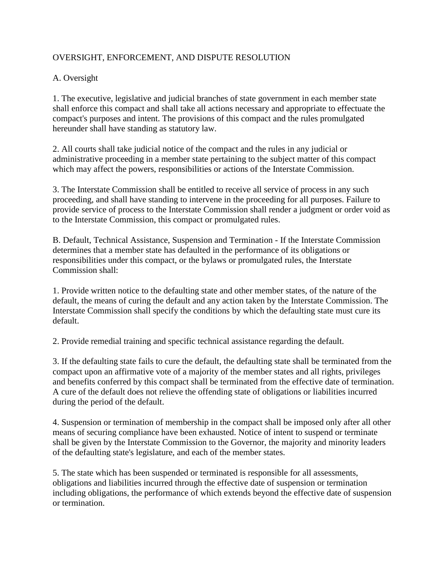### OVERSIGHT, ENFORCEMENT, AND DISPUTE RESOLUTION

# A. Oversight

1. The executive, legislative and judicial branches of state government in each member state shall enforce this compact and shall take all actions necessary and appropriate to effectuate the compact's purposes and intent. The provisions of this compact and the rules promulgated hereunder shall have standing as statutory law.

2. All courts shall take judicial notice of the compact and the rules in any judicial or administrative proceeding in a member state pertaining to the subject matter of this compact which may affect the powers, responsibilities or actions of the Interstate Commission.

3. The Interstate Commission shall be entitled to receive all service of process in any such proceeding, and shall have standing to intervene in the proceeding for all purposes. Failure to provide service of process to the Interstate Commission shall render a judgment or order void as to the Interstate Commission, this compact or promulgated rules.

B. Default, Technical Assistance, Suspension and Termination - If the Interstate Commission determines that a member state has defaulted in the performance of its obligations or responsibilities under this compact, or the bylaws or promulgated rules, the Interstate Commission shall:

1. Provide written notice to the defaulting state and other member states, of the nature of the default, the means of curing the default and any action taken by the Interstate Commission. The Interstate Commission shall specify the conditions by which the defaulting state must cure its default.

2. Provide remedial training and specific technical assistance regarding the default.

3. If the defaulting state fails to cure the default, the defaulting state shall be terminated from the compact upon an affirmative vote of a majority of the member states and all rights, privileges and benefits conferred by this compact shall be terminated from the effective date of termination. A cure of the default does not relieve the offending state of obligations or liabilities incurred during the period of the default.

4. Suspension or termination of membership in the compact shall be imposed only after all other means of securing compliance have been exhausted. Notice of intent to suspend or terminate shall be given by the Interstate Commission to the Governor, the majority and minority leaders of the defaulting state's legislature, and each of the member states.

5. The state which has been suspended or terminated is responsible for all assessments, obligations and liabilities incurred through the effective date of suspension or termination including obligations, the performance of which extends beyond the effective date of suspension or termination.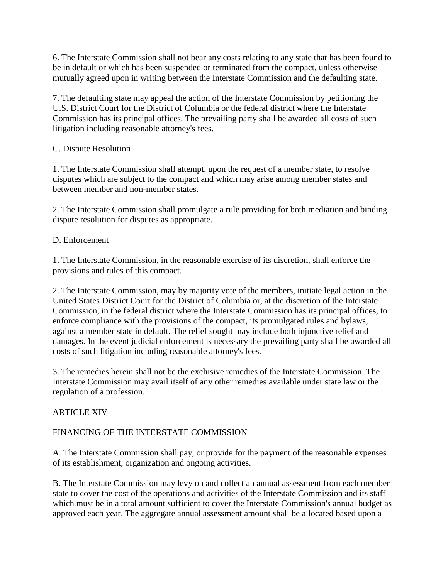6. The Interstate Commission shall not bear any costs relating to any state that has been found to be in default or which has been suspended or terminated from the compact, unless otherwise mutually agreed upon in writing between the Interstate Commission and the defaulting state.

7. The defaulting state may appeal the action of the Interstate Commission by petitioning the U.S. District Court for the District of Columbia or the federal district where the Interstate Commission has its principal offices. The prevailing party shall be awarded all costs of such litigation including reasonable attorney's fees.

### C. Dispute Resolution

1. The Interstate Commission shall attempt, upon the request of a member state, to resolve disputes which are subject to the compact and which may arise among member states and between member and non-member states.

2. The Interstate Commission shall promulgate a rule providing for both mediation and binding dispute resolution for disputes as appropriate.

## D. Enforcement

1. The Interstate Commission, in the reasonable exercise of its discretion, shall enforce the provisions and rules of this compact.

2. The Interstate Commission, may by majority vote of the members, initiate legal action in the United States District Court for the District of Columbia or, at the discretion of the Interstate Commission, in the federal district where the Interstate Commission has its principal offices, to enforce compliance with the provisions of the compact, its promulgated rules and bylaws, against a member state in default. The relief sought may include both injunctive relief and damages. In the event judicial enforcement is necessary the prevailing party shall be awarded all costs of such litigation including reasonable attorney's fees.

3. The remedies herein shall not be the exclusive remedies of the Interstate Commission. The Interstate Commission may avail itself of any other remedies available under state law or the regulation of a profession.

# ARTICLE XIV

# FINANCING OF THE INTERSTATE COMMISSION

A. The Interstate Commission shall pay, or provide for the payment of the reasonable expenses of its establishment, organization and ongoing activities.

B. The Interstate Commission may levy on and collect an annual assessment from each member state to cover the cost of the operations and activities of the Interstate Commission and its staff which must be in a total amount sufficient to cover the Interstate Commission's annual budget as approved each year. The aggregate annual assessment amount shall be allocated based upon a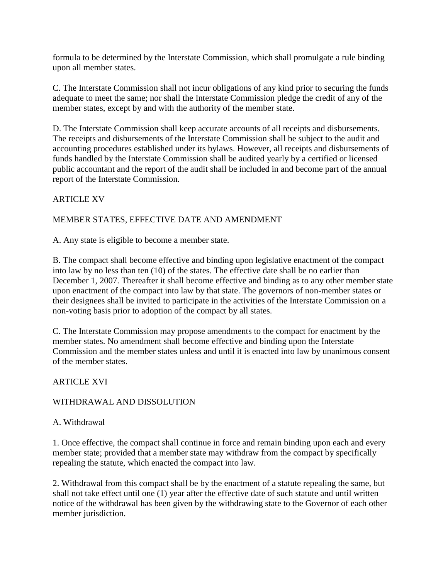formula to be determined by the Interstate Commission, which shall promulgate a rule binding upon all member states.

C. The Interstate Commission shall not incur obligations of any kind prior to securing the funds adequate to meet the same; nor shall the Interstate Commission pledge the credit of any of the member states, except by and with the authority of the member state.

D. The Interstate Commission shall keep accurate accounts of all receipts and disbursements. The receipts and disbursements of the Interstate Commission shall be subject to the audit and accounting procedures established under its bylaws. However, all receipts and disbursements of funds handled by the Interstate Commission shall be audited yearly by a certified or licensed public accountant and the report of the audit shall be included in and become part of the annual report of the Interstate Commission.

## ARTICLE XV

### MEMBER STATES, EFFECTIVE DATE AND AMENDMENT

A. Any state is eligible to become a member state.

B. The compact shall become effective and binding upon legislative enactment of the compact into law by no less than ten (10) of the states. The effective date shall be no earlier than December 1, 2007. Thereafter it shall become effective and binding as to any other member state upon enactment of the compact into law by that state. The governors of non-member states or their designees shall be invited to participate in the activities of the Interstate Commission on a non-voting basis prior to adoption of the compact by all states.

C. The Interstate Commission may propose amendments to the compact for enactment by the member states. No amendment shall become effective and binding upon the Interstate Commission and the member states unless and until it is enacted into law by unanimous consent of the member states.

### ARTICLE XVI

### WITHDRAWAL AND DISSOLUTION

### A. Withdrawal

1. Once effective, the compact shall continue in force and remain binding upon each and every member state; provided that a member state may withdraw from the compact by specifically repealing the statute, which enacted the compact into law.

2. Withdrawal from this compact shall be by the enactment of a statute repealing the same, but shall not take effect until one (1) year after the effective date of such statute and until written notice of the withdrawal has been given by the withdrawing state to the Governor of each other member jurisdiction.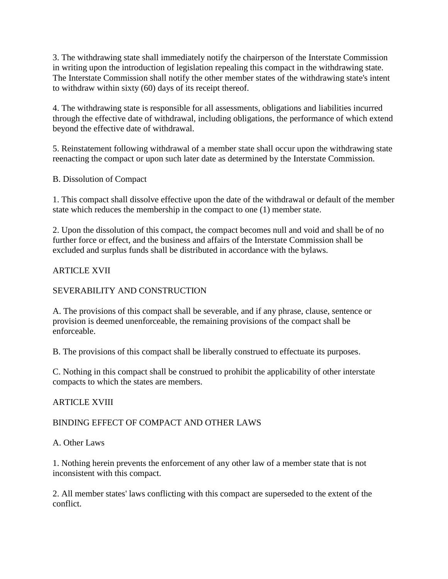3. The withdrawing state shall immediately notify the chairperson of the Interstate Commission in writing upon the introduction of legislation repealing this compact in the withdrawing state. The Interstate Commission shall notify the other member states of the withdrawing state's intent to withdraw within sixty (60) days of its receipt thereof.

4. The withdrawing state is responsible for all assessments, obligations and liabilities incurred through the effective date of withdrawal, including obligations, the performance of which extend beyond the effective date of withdrawal.

5. Reinstatement following withdrawal of a member state shall occur upon the withdrawing state reenacting the compact or upon such later date as determined by the Interstate Commission.

B. Dissolution of Compact

1. This compact shall dissolve effective upon the date of the withdrawal or default of the member state which reduces the membership in the compact to one (1) member state.

2. Upon the dissolution of this compact, the compact becomes null and void and shall be of no further force or effect, and the business and affairs of the Interstate Commission shall be excluded and surplus funds shall be distributed in accordance with the bylaws.

#### ARTICLE XVII

#### SEVERABILITY AND CONSTRUCTION

A. The provisions of this compact shall be severable, and if any phrase, clause, sentence or provision is deemed unenforceable, the remaining provisions of the compact shall be enforceable.

B. The provisions of this compact shall be liberally construed to effectuate its purposes.

C. Nothing in this compact shall be construed to prohibit the applicability of other interstate compacts to which the states are members.

#### ARTICLE XVIII

### BINDING EFFECT OF COMPACT AND OTHER LAWS

A. Other Laws

1. Nothing herein prevents the enforcement of any other law of a member state that is not inconsistent with this compact.

2. All member states' laws conflicting with this compact are superseded to the extent of the conflict.